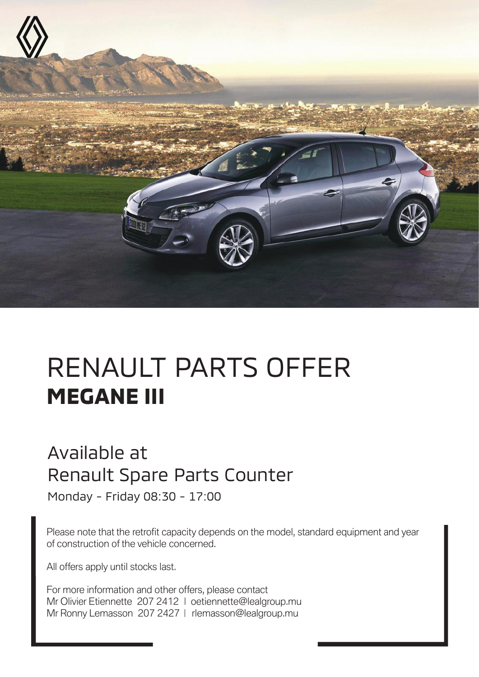

# RENAULT PARTS OFFER **MEGANE III**

#### Available at Renault Spare Parts Counter

Monday - Friday 08:30 - 17:00

Please note that the retrofit capacity depends on the model, standard equipment and year of construction of the vehicle concerned.

All offers apply until stocks last.

For more information and other offers, please contact Mr Olivier Etiennette 207 2412 | oetiennette@lealgroup.mu Mr Ronny Lemasson 207 2427 | rlemasson@lealgroup.mu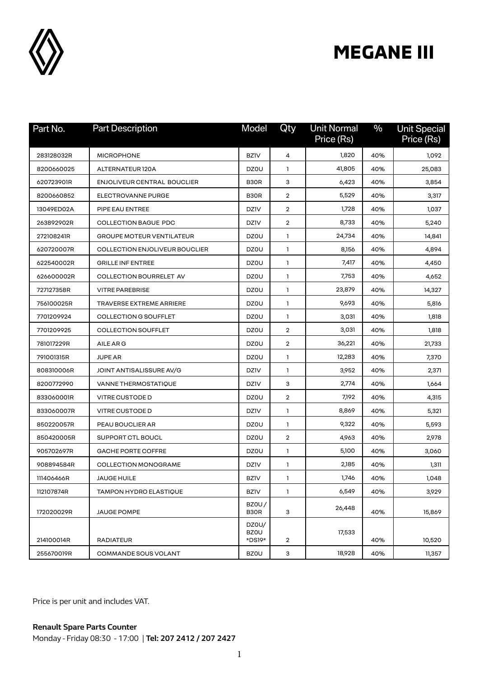

| Part No.   | <b>Part Description</b>            | Model                          | Qty | <b>Unit Normal</b><br>Price (Rs) | $\frac{0}{0}$ | <b>Unit Special</b><br>Price (Rs) |
|------------|------------------------------------|--------------------------------|-----|----------------------------------|---------------|-----------------------------------|
| 283128032R | <b>MICROPHONE</b>                  | <b>BZIV</b>                    | 4   | 1,820                            | 40%           | 1,092                             |
| 8200660025 | ALTERNATEUR120A                    | DZ0U                           | 1   | 41,805                           | 40%           | 25,083                            |
| 620723901R | <b>ENJOLIVEUR CENTRAL BOUCLIER</b> | B <sub>3</sub> OR              | з   | 6,423                            | 40%           | 3,854                             |
| 8200660852 | ELECTROVANNE PURGE                 | B <sub>3</sub> O <sub>R</sub>  | 2   | 5,529                            | 40%           | 3,317                             |
| 13049ED02A | PIPE EAU ENTREE                    | <b>DZIV</b>                    | 2   | 1,728                            | 40%           | 1,037                             |
| 263892902R | <b>COLLECTION BAGUE PDC</b>        | <b>DZIV</b>                    | 2   | 8,733                            | 40%           | 5,240                             |
| 272108241R | <b>GROUPE MOTEUR VENTILATEUR</b>   | DZ0U                           | 1   | 24,734                           | 40%           | 14,841                            |
| 620720007R | COLLECTION ENJOLIVEUR BOUCLIER     | DZ0U                           | 1   | 8,156                            | 40%           | 4,894                             |
| 622540002R | <b>GRILLE INFENTREE</b>            | DZ0U                           | 1   | 7,417                            | 40%           | 4,450                             |
| 626600002R | <b>COLLECTION BOURRELET AV</b>     | DZ0U                           | 1   | 7,753                            | 40%           | 4,652                             |
| 727127358R | <b>VITRE PAREBRISE</b>             | DZ0U                           | 1   | 23,879                           | 40%           | 14,327                            |
| 756100025R | TRAVERSE EXTREME ARRIERE           | DZ0U                           | 1   | 9,693                            | 40%           | 5,816                             |
| 7701209924 | COLLECTION G SOUFFLET              | DZ0U                           | 1   | 3,031                            | 40%           | 1,818                             |
| 7701209925 | <b>COLLECTION SOUFFLET</b>         | DZ0U                           | 2   | 3,031                            | 40%           | 1,818                             |
| 781017229R | AILE AR G                          | DZ0U                           | 2   | 36,221                           | 40%           | 21,733                            |
| 791001315R | <b>JUPE AR</b>                     | DZ0U                           | 1   | 12,283                           | 40%           | 7,370                             |
| 808310006R | JOINT ANTISALISSURE AV/G           | <b>DZIV</b>                    | 1   | 3,952                            | 40%           | 2,371                             |
| 8200772990 | <b>VANNE THERMOSTATIQUE</b>        | <b>DZIV</b>                    | 3   | 2,774                            | 40%           | 1,664                             |
| 833060001R | <b>VITRE CUSTODE D</b>             | DZ0U                           | 2   | 7,192                            | 40%           | 4,315                             |
| 833060007R | <b>VITRE CUSTODE D</b>             | <b>DZIV</b>                    | 1   | 8,869                            | 40%           | 5,321                             |
| 850220057R | PEAU BOUCLIER AR                   | DZ0U                           | 1   | 9,322                            | 40%           | 5,593                             |
| 850420005R | SUPPORT CTL BOUCL                  | DZ0U                           | 2   | 4,963                            | 40%           | 2,978                             |
| 905702697R | GACHE PORTE COFFRE                 | DZ0U                           | 1   | 5,100                            | 40%           | 3,060                             |
| 908894584R | <b>COLLECTION MONOGRAME</b>        | <b>DZIV</b>                    | 1   | 2,185                            | 40%           | 1,311                             |
| 111406466R | JAUGE HUILE                        | <b>BZIV</b>                    | 1   | 1,746                            | 40%           | 1,048                             |
| 112107874R | TAMPON HYDRO ELASTIQUE             | <b>BZIV</b>                    | 1   | 6,549                            | 40%           | 3,929                             |
| 172020029R | <b>JAUGE POMPE</b>                 | <b>BZ0U/</b><br>B30R           | 3   | 26,448                           | 40%           | 15,869                            |
| 214100014R | <b>RADIATEUR</b>                   | DZ0U/<br><b>BZOU</b><br>*DS19* | 2   | 17,533                           | 40%           | 10,520                            |
| 255670019R | COMMANDE SOUS VOLANT               | <b>BZOU</b>                    | 3   | 18,928                           | 40%           | 11,357                            |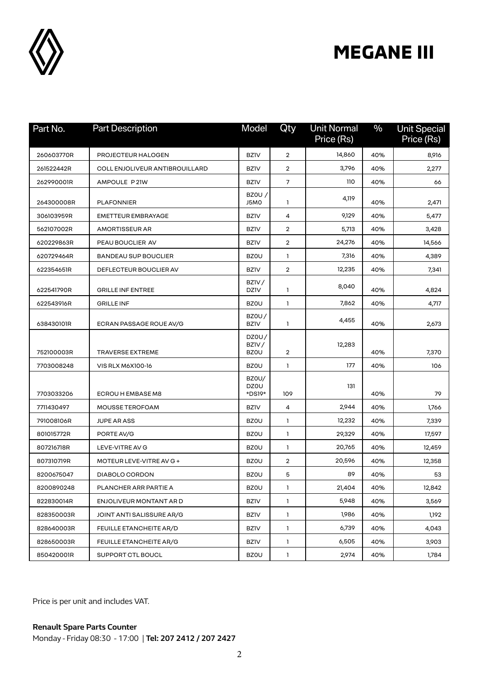

| Part No.   | <b>Part Description</b>        | Model                         | Qty            | <b>Unit Normal</b><br>Price (Rs) | $\frac{0}{0}$ | <b>Unit Special</b><br>Price (Rs) |
|------------|--------------------------------|-------------------------------|----------------|----------------------------------|---------------|-----------------------------------|
| 260603770R | PROJECTEUR HALOGEN             | <b>BZIV</b>                   | $\overline{2}$ | 14,860                           | 40%           | 8,916                             |
| 261522442R | COLL ENJOLIVEUR ANTIBROUILLARD | <b>BZIV</b>                   | 2              | 3,796                            | 40%           | 2,277                             |
| 262990001R | AMPOULE P21W                   | <b>BZIV</b>                   | $\overline{7}$ | 110                              | 40%           | 66                                |
| 264300008R | <b>PLAFONNIER</b>              | <b>BZOU /</b><br>J5M0         | 1              | 4,119                            | 40%           | 2,471                             |
| 306103959R | <b>EMETTEUR EMBRAYAGE</b>      | <b>BZIV</b>                   | 4              | 9,129                            | 40%           | 5,477                             |
| 562107002R | <b>AMORTISSEUR AR</b>          | <b>BZIV</b>                   | 2              | 5,713                            | 40%           | 3,428                             |
| 620229863R | PEAU BOUCLIER AV               | <b>BZIV</b>                   | 2              | 24,276                           | 40%           | 14,566                            |
| 620729464R | <b>BANDEAU SUP BOUCLIER</b>    | <b>BZOU</b>                   | 1              | 7,316                            | 40%           | 4,389                             |
| 622354651R | DEFLECTEUR BOUCLIER AV         | <b>BZIV</b>                   | 2              | 12,235                           | 40%           | 7,341                             |
| 622541790R | <b>GRILLE INFENTREE</b>        | BZIV/<br><b>DZIV</b>          | 1              | 8,040                            | 40%           | 4,824                             |
| 622543916R | <b>GRILLE INF</b>              | <b>BZOU</b>                   | 1              | 7,862                            | 40%           | 4,717                             |
| 638430101R | ECRAN PASSAGE ROUE AV/G        | <b>BZ0U/</b><br><b>BZIV</b>   | 1              | 4,455                            | 40%           | 2,673                             |
| 752100003R | <b>TRAVERSE EXTREME</b>        | DZ0U/<br>BZIV/<br><b>BZOU</b> | 2              | 12,283                           | 40%           | 7,370                             |
| 7703008248 | VIS RLX M6X100-16              | <b>BZOU</b>                   | 1              | 177                              | 40%           | 106                               |
| 7703033206 | ECROU H EMBASE M8              | BZ0U/<br>DZ0U<br>*DS19*       | 109            | 131                              | 40%           | 79                                |
| 7711430497 | MOUSSE TEROFOAM                | <b>BZIV</b>                   | 4              | 2,944                            | 40%           | 1,766                             |
| 791008106R | <b>JUPE AR ASS</b>             | <b>BZOU</b>                   | 1              | 12,232                           | 40%           | 7,339                             |
| 801015772R | PORTE AV/G                     | <b>BZOU</b>                   | 1              | 29,329                           | 40%           | 17,597                            |
| 807216718R | LEVE-VITRE AV G                | <b>BZOU</b>                   | 1              | 20,765                           | 40%           | 12,459                            |
| 807310719R | MOTEUR LEVE-VITRE AV G +       | <b>BZOU</b>                   | 2              | 20,596                           | 40%           | 12,358                            |
| 8200675047 | DIABOLO CORDON                 | <b>BZOU</b>                   | 5              | 89                               | 40%           | 53                                |
| 8200890248 | PLANCHER ARR PARTIE A          | <b>BZOU</b>                   | 1              | 21,404                           | 40%           | 12,842                            |
| 822830014R | ENJOLIVEUR MONTANT AR D        | <b>BZIV</b>                   | 1              | 5,948                            | 40%           | 3,569                             |
| 828350003R | JOINT ANTI SALISSURE AR/G      | <b>BZIV</b>                   | 1              | 1,986                            | 40%           | 1,192                             |
| 828640003R | FEUILLE ETANCHEITE AR/D        | <b>BZIV</b>                   | 1              | 6,739                            | 40%           | 4,043                             |
| 828650003R | FEUILLE ETANCHEITE AR/G        | <b>BZIV</b>                   | 1              | 6,505                            | 40%           | 3,903                             |
| 850420001R | SUPPORT CTL BOUCL              | <b>BZOU</b>                   | 1              | 2,974                            | 40%           | 1,784                             |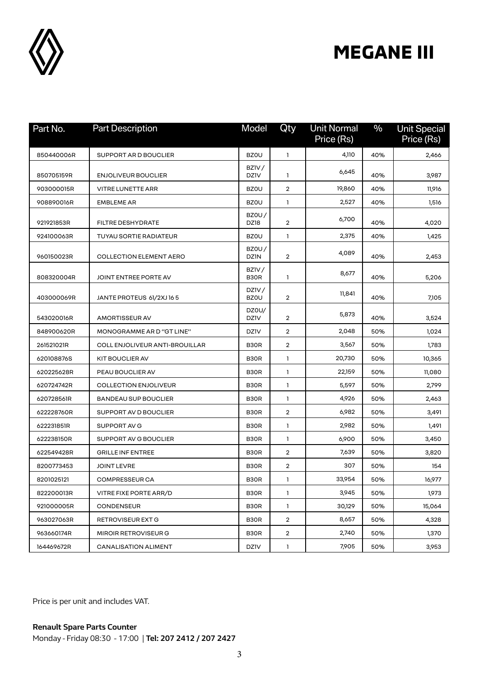

| Part No.   | <b>Part Description</b>               | Model                         | Qty                     | <b>Unit Normal</b><br>Price (Rs) | $\frac{0}{0}$ | <b>Unit Special</b><br>Price (Rs) |
|------------|---------------------------------------|-------------------------------|-------------------------|----------------------------------|---------------|-----------------------------------|
| 850440006R | SUPPORT AR D BOUCLIER                 | <b>BZOU</b>                   | $\mathbf{1}$            | 4,110                            | 40%           | 2,466                             |
| 850705159R | <b>ENJOLIVEUR BOUCLIER</b>            | BZIV/<br><b>DZIV</b>          | 1                       | 6,645                            | 40%           | 3,987                             |
| 903000015R | <b>VITRE LUNETTE ARR</b>              | <b>BZOU</b>                   | $\overline{2}$          | 19,860                           | 40%           | 11,916                            |
| 908890016R | <b>EMBLEME AR</b>                     | <b>BZOU</b>                   | 1                       | 2,527                            | 40%           | 1,516                             |
| 921921853R | <b>FILTRE DESHYDRATE</b>              | BZOU/<br>DZ18                 | 2                       | 6,700                            | 40%           | 4,020                             |
| 924100063R | TUYAU SORTIE RADIATEUR                | <b>BZOU</b>                   | 1                       | 2,375                            | 40%           | 1,425                             |
| 960150023R | <b>COLLECTION ELEMENT AERO</b>        | <b>BZ0U/</b><br><b>DZIN</b>   | $\overline{2}$          | 4,089                            | 40%           | 2,453                             |
| 808320004R | JOINT ENTREE PORTE AV                 | BZIV/<br>B30R                 | 1                       | 8,677                            | 40%           | 5,206                             |
| 403000069R | JANTE PROTEUS 61/2XJ165               | DZIV/<br><b>BZOU</b>          | $\overline{2}$          | 11,841                           | 40%           | 7,105                             |
| 543020016R | AMORTISSEUR AV                        | DZ0U/<br><b>DZIV</b>          | $\overline{2}$          | 5,873                            | 40%           | 3,524                             |
| 848900620R | MONOGRAMME AR D "GT LINE"             | DZ1V                          | $\overline{2}$          | 2,048                            | 50%           | 1,024                             |
| 261521021R | <b>COLL ENJOLIVEUR ANTI-BROUILLAR</b> | B <sub>3</sub> OR             | $\overline{2}$          | 3,567                            | 50%           | 1,783                             |
| 620108876S | <b>KIT BOUCLIER AV</b>                | B <sub>3</sub> O <sub>R</sub> | 1                       | 20,730                           | 50%           | 10,365                            |
| 620225628R | PEAU BOUCLIER AV                      | B <sub>3</sub> OR             | $\mathbf{1}$            | 22,159                           | 50%           | 11,080                            |
| 620724742R | <b>COLLECTION ENJOLIVEUR</b>          | B30R                          | 1                       | 5,597                            | 50%           | 2,799                             |
| 620728561R | <b>BANDEAU SUP BOUCLIER</b>           | B <sub>3</sub> OR             | 1                       | 4,926                            | 50%           | 2,463                             |
| 622228760R | SUPPORT AV D BOUCLIER                 | B <sub>3</sub> OR             | $\overline{2}$          | 6,982                            | 50%           | 3,491                             |
| 622231851R | SUPPORT AV G                          | B <sub>3</sub> OR             | 1                       | 2,982                            | 50%           | 1,491                             |
| 622238150R | SUPPORT AV G BOUCLIER                 | B30R                          | 1                       | 6,900                            | 50%           | 3,450                             |
| 622549428R | <b>GRILLE INF ENTREE</b>              | B30R                          | $\overline{2}$          | 7,639                            | 50%           | 3,820                             |
| 8200773453 | <b>JOINT LEVRE</b>                    | B <sub>3</sub> OR             | $\overline{\mathbf{c}}$ | 307                              | 50%           | 154                               |
| 8201025121 | <b>COMPRESSEUR CA</b>                 | B30R                          | 1                       | 33,954                           | 50%           | 16,977                            |
| 822200013R | VITRE FIXE PORTE ARR/D                | B30R                          | 1                       | 3,945                            | 50%           | 1,973                             |
| 921000005R | <b>CONDENSEUR</b>                     | B30R                          | $\mathbf{1}$            | 30,129                           | 50%           | 15,064                            |
| 963027063R | RETROVISEUR EXT G                     | B30R                          | $\overline{2}$          | 8,657                            | 50%           | 4,328                             |
| 963660174R | MIROIR RETROVISEUR G                  | B30R                          | $\overline{2}$          | 2,740                            | 50%           | 1,370                             |
| 164469672R | <b>CANALISATION ALIMENT</b>           | <b>DZIV</b>                   | $\mathbf{1}$            | 7,905                            | 50%           | 3,953                             |

Price is per unit and includes VAT.

**Renault Spare Parts Counter**  Monday - Friday 08:30 - 17:00 | **Tel: 207 2412 / 207 2427**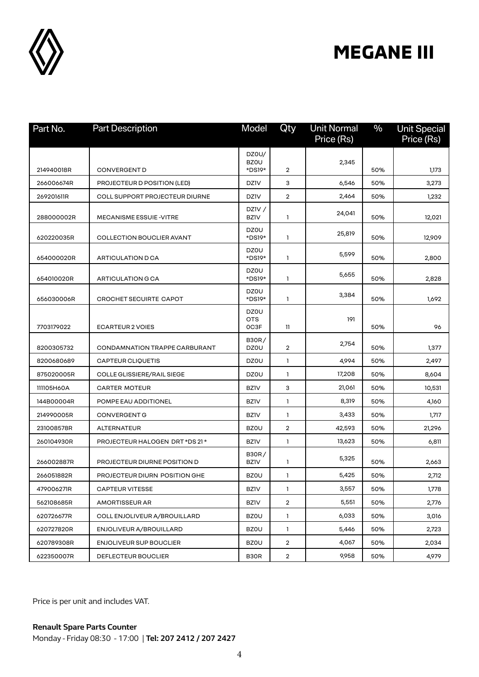

| Part No.   | <b>Part Description</b>               | Model                       | Qty            | <b>Unit Normal</b><br>Price (Rs) | $\frac{0}{0}$ | <b>Unit Special</b><br>Price (Rs) |
|------------|---------------------------------------|-----------------------------|----------------|----------------------------------|---------------|-----------------------------------|
|            |                                       | DZ0U/                       |                |                                  |               |                                   |
| 214940018R | <b>CONVERGENT D</b>                   | <b>BZOU</b><br>*DS19*       | $\overline{2}$ | 2,345                            | 50%           | 1,173                             |
| 266006674R | PROJECTEUR D POSITION (LED)           | <b>DZIV</b>                 | 3              | 6,546                            | 50%           | 3,273                             |
| 269201611R | <b>COLL SUPPORT PROJECTEUR DIURNE</b> | <b>DZIV</b>                 | $\overline{2}$ | 2,464                            | 50%           | 1,232                             |
|            |                                       | DZIV /                      |                |                                  |               |                                   |
| 288000002R | <b>MECANISME ESSUIE - VITRE</b>       | <b>BZIV</b>                 | 1              | 24,041                           | 50%           | 12,021                            |
| 620220035R | <b>COLLECTION BOUCLIER AVANT</b>      | DZ0U<br>*DS19*              | 1              | 25,819                           | 50%           | 12,909                            |
| 654000020R | ARTICULATION D CA                     | DZ0U<br>*DS19*              | 1              | 5,599                            | 50%           | 2,800                             |
| 654010020R | ARTICULATION G CA                     | DZ0U<br>*DS19*              | 1              | 5,655                            | 50%           | 2,828                             |
| 656030006R | <b>CROCHET SECUIRTE CAPOT</b>         | DZ0U<br>*DS19*              | 1              | 3,384                            | 50%           | 1,692                             |
|            |                                       | DZ0U                        |                |                                  |               |                                   |
| 7703179022 | <b>ECARTEUR 2 VOIES</b>               | 0TS<br>OC3F                 | 11             | 191                              | 50%           | 96                                |
| 8200305732 | CONDAMNATION TRAPPE CARBURANT         | <b>B30R/</b><br>DZ0U        | $\overline{2}$ | 2,754                            | 50%           | 1,377                             |
| 8200680689 | <b>CAPTEUR CLIQUETIS</b>              | DZ0U                        | 1              | 4,994                            | 50%           | 2,497                             |
| 875020005R | COLLE GLISSIERE/RAIL SIEGE            | DZ0U                        | 1              | 17,208                           | 50%           | 8,604                             |
| 111105H60A | <b>CARTER MOTEUR</b>                  | <b>BZIV</b>                 | з              | 21,061                           | 50%           | 10,531                            |
| 144B00004R | POMPE EAU ADDITIONEL                  | <b>BZIV</b>                 | 1              | 8,319                            | 50%           | 4,160                             |
| 214990005R | <b>CONVERGENT G</b>                   | <b>BZIV</b>                 | $\mathbf{1}$   | 3,433                            | 50%           | 1,717                             |
| 231008578R | ALTERNATEUR                           | <b>BZOU</b>                 | $\overline{2}$ | 42,593                           | 50%           | 21,296                            |
| 260104930R | PROJECTEUR HALOGEN DRT *DS 21 *       | <b>BZIV</b>                 | 1.             | 13,623                           | 50%           | 6,811                             |
| 266002887R | PROJECTEUR DIURNE POSITION D          | <b>B30R/</b><br><b>BZIV</b> | 1              | 5,325                            | 50%           | 2,663                             |
| 266051882R | PROJECTEUR DIURN POSITION GHE         | <b>BZOU</b>                 | 1              | 5,425                            | 50%           | 2,712                             |
| 479006271R | <b>CAPTEUR VITESSE</b>                | BZ1V                        | 1              | 3,557                            | 50%           | 1,778                             |
| 562108685R | <b>AMORTISSEUR AR</b>                 | <b>BZIV</b>                 | $\overline{a}$ | 5,551                            | 50%           | 2,776                             |
| 620726677R | COLL ENJOLIVEUR A/BROUILLARD          | <b>BZOU</b>                 | $\mathbf{1}$   | 6,033                            | 50%           | 3,016                             |
| 620727820R | ENJOLIVEUR A/BROUILLARD               | <b>BZOU</b>                 | $\mathbf{1}$   | 5,446                            | 50%           | 2,723                             |
| 620789308R | ENJOLIVEUR SUP BOUCLIER               | <b>BZOU</b>                 | $\overline{2}$ | 4,067                            | 50%           | 2,034                             |
| 622350007R | DEFLECTEUR BOUCLIER                   | B30R                        | $\overline{c}$ | 9,958                            | 50%           | 4,979                             |

Price is per unit and includes VAT.

**Renault Spare Parts Counter** 

Monday - Friday 08:30 - 17:00 | **Tel: 207 2412 / 207 2427**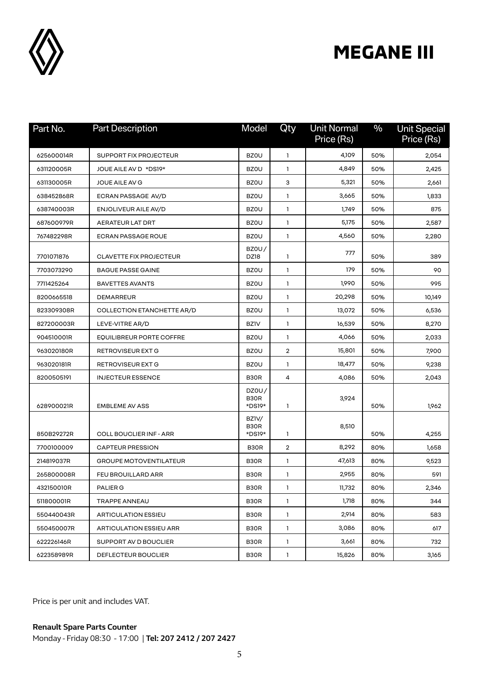

| Part No.   | <b>Part Description</b>         | Model                   | Qty                     | <b>Unit Normal</b><br>Price (Rs) | $\frac{0}{0}$ | <b>Unit Special</b><br>Price (Rs) |
|------------|---------------------------------|-------------------------|-------------------------|----------------------------------|---------------|-----------------------------------|
| 625600014R | <b>SUPPORT FIX PROJECTEUR</b>   | <b>BZOU</b>             | $\mathbf{1}$            | 4,109                            | 50%           | 2,054                             |
| 631120005R | JOUE AILE AV D *DS19*           | <b>BZOU</b>             | $\mathbf{1}$            | 4,849                            | 50%           | 2,425                             |
| 631130005R | JOUE AILE AV G                  | <b>BZOU</b>             | з                       | 5,321                            | 50%           | 2,661                             |
| 638452868R | ECRAN PASSAGE AV/D              | <b>BZOU</b>             | 1                       | 3,665                            | 50%           | 1,833                             |
| 638740003R | <b>ENJOLIVEUR AILE AV/D</b>     | <b>BZOU</b>             | $\mathbf{1}$            | 1,749                            | 50%           | 875                               |
| 687600979R | <b>AERATEUR LAT DRT</b>         | <b>BZOU</b>             | $\mathbf{1}$            | 5,175                            | 50%           | 2,587                             |
| 767482298R | <b>ECRAN PASSAGE ROUE</b>       | <b>BZOU</b>             | $\mathbf{1}$            | 4,560                            | 50%           | 2,280                             |
| 7701071876 | <b>CLAVETTE FIX PROJECTEUR</b>  | BZOU/<br>DZ18           | 1                       | 777                              | 50%           | 389                               |
| 7703073290 | <b>BAGUE PASSE GAINE</b>        | <b>BZOU</b>             | 1                       | 179                              | 50%           | 90                                |
| 7711425264 | <b>BAVETTES AVANTS</b>          | <b>BZOU</b>             | 1                       | 1,990                            | 50%           | 995                               |
| 8200665518 | DEMARREUR                       | <b>BZOU</b>             | 1                       | 20,298                           | 50%           | 10,149                            |
| 823309308R | COLLECTION ETANCHETTE AR/D      | <b>BZOU</b>             | 1                       | 13,072                           | 50%           | 6,536                             |
| 827200003R | LEVE-VITRE AR/D                 | <b>BZIV</b>             | $\mathbf{1}$            | 16,539                           | 50%           | 8,270                             |
| 904510001R | <b>EQUILIBREUR PORTE COFFRE</b> | <b>BZOU</b>             | 1                       | 4,066                            | 50%           | 2,033                             |
| 963020180R | <b>RETROVISEUR EXT G</b>        | <b>BZOU</b>             | $\overline{2}$          | 15,801                           | 50%           | 7,900                             |
| 963020181R | RETROVISEUR EXT G               | <b>BZOU</b>             | 1                       | 18,477                           | 50%           | 9,238                             |
| 8200505191 | <b>INJECTEUR ESSENCE</b>        | B30R                    | 4                       | 4,086                            | 50%           | 2,043                             |
| 628900021R | <b>EMBLEME AV ASS</b>           | DZ0U/<br>B30R<br>*DS19* | 1                       | 3,924                            | 50%           | 1,962                             |
| 850B29272R | <b>COLL BOUCLIER INF - ARR</b>  | BZ1V/<br>B30R<br>*DS19* | 1                       | 8,510                            | 50%           | 4,255                             |
| 7700100009 | <b>CAPTEUR PRESSION</b>         | B30R                    | $\overline{\mathbf{c}}$ | 8,292                            | 80%           | 1,658                             |
| 214819037R | <b>GROUPE MOTOVENTILATEUR</b>   | B30R                    | 1                       | 47,613                           | 80%           | 9,523                             |
| 265800008R | <b>FEU BROUILLARD ARR</b>       | B30R                    | 1                       | 2,955                            | 80%           | 591                               |
| 432150010R | PALIER G                        | B30R                    | $\mathbf{1}$            | 11,732                           | 80%           | 2,346                             |
| 511800001R | TRAPPE ANNEAU                   | B30R                    | $\mathbf{1}$            | 1,718                            | 80%           | 344                               |
| 550440043R | <b>ARTICULATION ESSIEU</b>      | B30R                    | $\mathbf{1}$            | 2,914                            | 80%           | 583                               |
| 550450007R | <b>ARTICULATION ESSIEU ARR</b>  | B30R                    | $\mathbf{1}$            | 3,086                            | 80%           | 617                               |
| 622226146R | SUPPORT AV D BOUCLIER           | B30R                    | $\mathbf{1}$            | 3,661                            | 80%           | 732                               |
| 622358989R | <b>DEFLECTEUR BOUCLIER</b>      | B30R                    | 1                       | 15,826                           | 80%           | 3,165                             |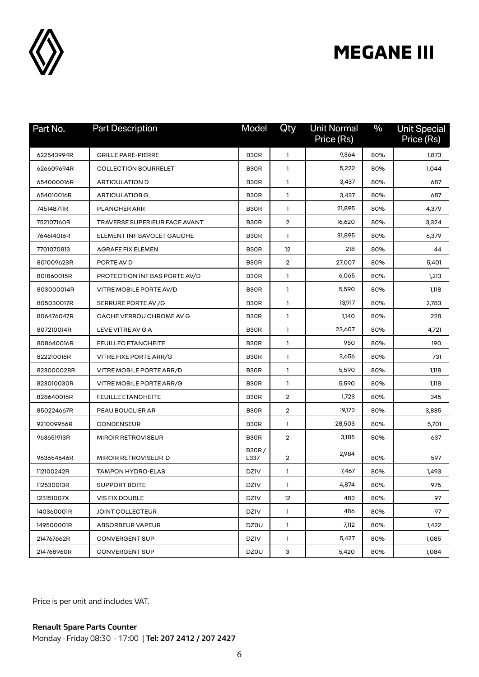

| Part No.   | <b>Part Description</b>       | Model                         | Qty               | <b>Unit Normal</b><br>Price (Rs) | $\frac{0}{0}$ | <b>Unit Special</b><br>Price (Rs) |
|------------|-------------------------------|-------------------------------|-------------------|----------------------------------|---------------|-----------------------------------|
| 622543994R | <b>GRILLE PARE-PIERRE</b>     | B <sub>3</sub> OR             | 1                 | 9,364                            | 80%           | 1,873                             |
| 626609694R | <b>COLLECTION BOURRELET</b>   | B <sub>3</sub> OR             | 1                 | 5,222                            | 80%           | 1,044                             |
| 654000016R | <b>ARTICULATION D</b>         | B <sub>3</sub> O <sub>R</sub> | 1                 | 3,437                            | 80%           | 687                               |
| 654010016R | <b>ARTICULATIOB G</b>         | B <sub>3</sub> O <sub>R</sub> | 1                 | 3,437                            | 80%           | 687                               |
| 745148711R | PLANCHER ARR                  | B <sub>3</sub> OR             | 1                 | 21,895                           | 80%           | 4,379                             |
| 752107160R | TRAVERSE SUPERIEUR FACE AVANT | B <sub>3</sub> OR             | 2                 | 16,620                           | 80%           | 3,324                             |
| 764614016R | ELEMENT INF BAVOLET GAUCHE    | B <sub>3</sub> OR             | 1                 | 31,895                           | 80%           | 6,379                             |
| 7701070813 | AGRAFE FIX ELEMEN             | B <sub>3</sub> OR             | $12 \overline{ }$ | 218                              | 80%           | 44                                |
| 801009623R | PORTE AV D                    | B <sub>3</sub> O <sub>R</sub> | $\overline{2}$    | 27,007                           | 80%           | 5,401                             |
| 801860015R | PROTECTION INF BAS PORTE AV/D | B30R                          | 1                 | 6,065                            | 80%           | 1,213                             |
| 803000014R | VITRE MOBILE PORTE AV/D       | B <sub>3</sub> O <sub>R</sub> | 1                 | 5,590                            | 80%           | 1,118                             |
| 805030017R | SERRURE PORTE AV / G          | B <sub>3</sub> O <sub>R</sub> | 1                 | 13,917                           | 80%           | 2,783                             |
| 806476047R | CACHE VERROU CHROME AV G      | B30R                          | 1                 | 1,140                            | 80%           | 228                               |
| 807210014R | LEVE VITRE AV G A             | B30R                          | $\mathbf{1}$      | 23,607                           | 80%           | 4,721                             |
| 808640016R | <b>FEUILLEC ETANCHEITE</b>    | B30R                          | $\mathbf{1}$      | 950                              | 80%           | 190                               |
| 822210016R | VITRE FIXE PORTE ARR/G        | B30R                          | 1                 | 3,656                            | 80%           | 731                               |
| 823000028R | VITRE MOBILE PORTE ARR/D      | B <sub>3</sub> O <sub>R</sub> | 1                 | 5,590                            | 80%           | 1,118                             |
| 823010030R | VITRE MOBILE PORTE ARR/G      | B <sub>3</sub> O <sub>R</sub> | 1                 | 5,590                            | 80%           | 1,118                             |
| 828640015R | <b>FEUILLE ETANCHEITE</b>     | B <sub>3</sub> OR             | $\overline{2}$    | 1,723                            | 80%           | 345                               |
| 850224667R | PEAU BOUCLIER AR              | B <sub>3</sub> OR             | $\overline{2}$    | 19,173                           | 80%           | 3,835                             |
| 921009956R | <b>CONDENSEUR</b>             | B <sub>3</sub> OR             | 1                 | 28,503                           | 80%           | 5,701                             |
| 963651913R | <b>MIROIR RETROVISEUR</b>     | B <sub>3</sub> O <sub>R</sub> | $\overline{2}$    | 3,185                            | 80%           | 637                               |
| 963654646R | MIROIR RETROVISEUR D          | <b>B30R/</b><br>L337          | 2                 | 2,984                            | 80%           | 597                               |
| 112100242R | <b>TAMPON HYDRO-ELAS</b>      | <b>DZIV</b>                   | 1                 | 7,467                            | 80%           | 1,493                             |
| 112530013R | <b>SUPPORT BOITE</b>          | <b>DZIV</b>                   | 1                 | 4,874                            | 80%           | 975                               |
| 123151007X | <b>VIS FIX DOUBLE</b>         | <b>DZIV</b>                   | 12                | 483                              | 80%           | 97                                |
| 140360001R | <b>JOINT COLLECTEUR</b>       | <b>DZIV</b>                   | 1                 | 486                              | 80%           | 97                                |
| 149500001R | ABSORBEUR VAPEUR              | DZ0U                          | 1                 | 7,112                            | 80%           | 1,422                             |
| 214767662R | <b>CONVERGENT SUP</b>         | <b>DZIV</b>                   | 1                 | 5,427                            | 80%           | 1,085                             |
| 214768960R | CONVERGENT SUP                | DZ0U                          | 3                 | 5,420                            | 80%           | 1,084                             |

Price is per unit and includes VAT.

**Renault Spare Parts Counter**  Monday - Friday 08:30 - 17:00 | **Tel: 207 2412 / 207 2427**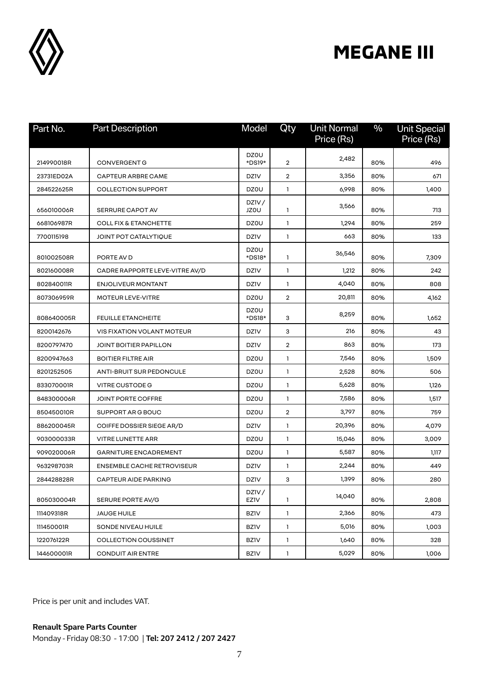

| Part No.   | <b>Part Description</b>           | Model                 | Qty            | <b>Unit Normal</b><br>Price (Rs) | $\frac{0}{0}$ | <b>Unit Special</b><br>Price (Rs) |
|------------|-----------------------------------|-----------------------|----------------|----------------------------------|---------------|-----------------------------------|
|            |                                   | DZ0U                  |                | 2,482                            |               |                                   |
| 214990018R | <b>CONVERGENT G</b>               | *DS19*                | 2              |                                  | 80%           | 496                               |
| 23731ED02A | <b>CAPTEUR ARBRE CAME</b>         | <b>DZIV</b>           | 2              | 3,356                            | 80%           | 671                               |
| 284522625R | <b>COLLECTION SUPPORT</b>         | DZ0U                  | 1              | 6,998                            | 80%           | 1,400                             |
| 656010006R | SERRURE CAPOT AV                  | DZIV/<br><b>JZOU</b>  | 1              | 3,566                            | 80%           | 713                               |
| 668106987R | <b>COLL FIX &amp; ETANCHETTE</b>  | DZ0U                  | 1              | 1,294                            | 80%           | 259                               |
| 7700115198 | JOINT POT CATALYTIQUE             | <b>DZIV</b>           | 1              | 663                              | 80%           | 133                               |
| 801002508R | PORTE AV D                        | <b>DZ0U</b><br>*DS18* | 1              | 36,546                           | 80%           | 7,309                             |
| 802160008R | CADRE RAPPORTE LEVE-VITRE AV/D    | <b>DZIV</b>           | 1.             | 1,212                            | 80%           | 242                               |
| 802840011R | <b>ENJOLIVEUR MONTANT</b>         | <b>DZIV</b>           | 1.             | 4,040                            | 80%           | 808                               |
| 807306959R | <b>MOTEUR LEVE-VITRE</b>          | DZ0U                  | 2              | 20,811                           | 80%           | 4,162                             |
| 808640005R | <b>FEUILLE ETANCHEITE</b>         | <b>DZ0U</b><br>*DS18* | з              | 8,259                            | 80%           | 1,652                             |
| 8200142676 | VIS FIXATION VOLANT MOTEUR        | <b>DZIV</b>           | з              | 216                              | 80%           | 43                                |
| 8200797470 | JOINT BOITIER PAPILLON            | <b>DZIV</b>           | 2              | 863                              | 80%           | 173                               |
| 8200947663 | <b>BOITIER FILTRE AIR</b>         | DZ0U                  | 1              | 7,546                            | 80%           | 1,509                             |
| 8201252505 | <b>ANTI-BRUIT SUR PEDONCULE</b>   | DZ0U                  | $\mathbf{1}$   | 2,528                            | 80%           | 506                               |
| 833070001R | VITRE CUSTODE G                   | DZ0U                  | 1.             | 5,628                            | 80%           | 1,126                             |
| 848300006R | JOINT PORTE COFFRE                | DZ0U                  | 1              | 7,586                            | 80%           | 1,517                             |
| 850450010R | SUPPORT AR G BOUC                 | DZ0U                  | $\overline{2}$ | 3,797                            | 80%           | 759                               |
| 886200045R | COIFFE DOSSIER SIEGE AR/D         | <b>DZIV</b>           | 1              | 20,396                           | 80%           | 4,079                             |
| 903000033R | <b>VITRE LUNETTE ARR</b>          | DZ0U                  | 1              | 15,046                           | 80%           | 3,009                             |
| 909020006R | <b>GARNITURE ENCADREMENT</b>      | DZ0U                  | 1              | 5,587                            | 80%           | 1,117                             |
| 963298703R | <b>ENSEMBLE CACHE RETROVISEUR</b> | <b>DZIV</b>           | 1              | 2,244                            | 80%           | 449                               |
| 284428828R | <b>CAPTEUR AIDE PARKING</b>       | <b>DZIV</b>           | З              | 1,399                            | 80%           | 280                               |
| 805030004R | SERURE PORTE AV/G                 | DZIV/<br><b>EZIV</b>  | 1              | 14,040                           | 80%           | 2,808                             |
| 111409318R | JAUGE HUILE                       | <b>BZIV</b>           | 1              | 2,366                            | 80%           | 473                               |
| 111450001R | SONDE NIVEAU HUILE                | <b>BZIV</b>           | 1              | 5,016                            | 80%           | 1,003                             |
| 122076122R | <b>COLLECTION COUSSINET</b>       | <b>BZIV</b>           | 1              | 1,640                            | 80%           | 328                               |
| 144600001R | <b>CONDUIT AIR ENTRE</b>          | <b>BZIV</b>           | 1              | 5,029                            | 80%           | 1,006                             |

Price is per unit and includes VAT.

**Renault Spare Parts Counter**  Monday - Friday 08:30 - 17:00 | **Tel: 207 2412 / 207 2427**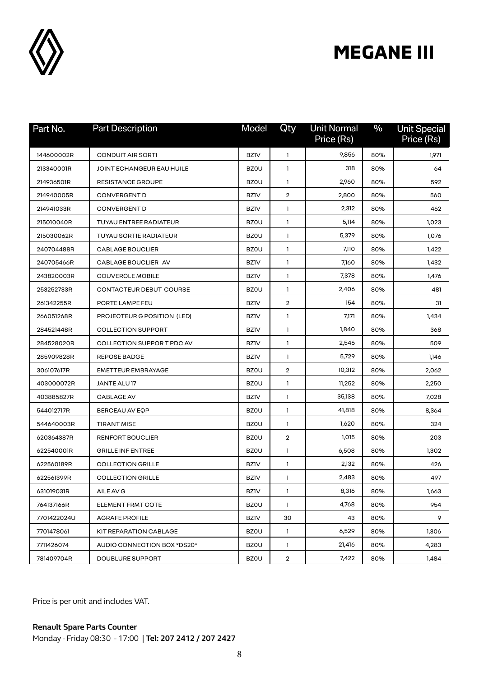

| Part No.    | <b>Part Description</b>     | Model       | Qty            | <b>Unit Normal</b><br>Price (Rs) | $\frac{0}{0}$ | <b>Unit Special</b><br>Price (Rs) |
|-------------|-----------------------------|-------------|----------------|----------------------------------|---------------|-----------------------------------|
| 144600002R  | <b>CONDUIT AIR SORTI</b>    | <b>BZIV</b> | 1              | 9,856                            | 80%           | 1,971                             |
| 213340001R  | JOINT ECHANGEUR EAU HUILE   | <b>BZOU</b> | $\mathbf{1}$   | 318                              | 80%           | 64                                |
| 214936501R  | <b>RESISTANCE GROUPE</b>    | <b>BZOU</b> | 1              | 2,960                            | 80%           | 592                               |
| 214940005R  | <b>CONVERGENT D</b>         | <b>BZIV</b> | $\overline{2}$ | 2,800                            | 80%           | 560                               |
| 214941033R  | <b>CONVERGENT D</b>         | <b>BZIV</b> | 1              | 2,312                            | 80%           | 462                               |
| 215010040R  | TUYAU ENTREE RADIATEUR      | <b>BZOU</b> | 1              | 5,114                            | 80%           | 1,023                             |
| 215030062R  | TUYAU SORTIE RADIATEUR      | <b>BZOU</b> | 1              | 5,379                            | 80%           | 1,076                             |
| 240704488R  | <b>CABLAGE BOUCLIER</b>     | <b>BZOU</b> | 1              | 7,110                            | 80%           | 1,422                             |
| 240705466R  | CABLAGE BOUCLIER AV         | <b>BZIV</b> | 1              | 7,160                            | 80%           | 1,432                             |
| 243820003R  | <b>COUVERCLE MOBILE</b>     | <b>BZIV</b> | $\mathbf{1}$   | 7,378                            | 80%           | 1,476                             |
| 253252733R  | CONTACTEUR DEBUT COURSE     | <b>BZOU</b> | 1              | 2,406                            | 80%           | 481                               |
| 261342255R  | PORTE LAMPE FEU             | <b>BZIV</b> | $\overline{2}$ | 154                              | 80%           | 31                                |
| 266051268R  | PROJECTEUR G POSITION (LED) | <b>BZIV</b> | 1              | 7,171                            | 80%           | 1,434                             |
| 284521448R  | <b>COLLECTION SUPPORT</b>   | <b>BZIV</b> | $\mathbf{1}$   | 1,840                            | 80%           | 368                               |
| 284528020R  | COLLECTION SUPPORT PDC AV   | <b>BZIV</b> | 1              | 2,546                            | 80%           | 509                               |
| 285909828R  | <b>REPOSE BADGE</b>         | <b>BZIV</b> | 1.             | 5,729                            | 80%           | 1,146                             |
| 306107617R  | <b>EMETTEUR EMBRAYAGE</b>   | <b>BZOU</b> | $\overline{2}$ | 10,312                           | 80%           | 2,062                             |
| 403000072R  | JANTE ALU 17                | <b>BZOU</b> | 1              | 11,252                           | 80%           | 2,250                             |
| 403885827R  | <b>CABLAGE AV</b>           | <b>BZIV</b> | 1              | 35,138                           | 80%           | 7,028                             |
| 544012717R  | BERCEAU AV EQP              | <b>BZOU</b> | 1              | 41,818                           | 80%           | 8,364                             |
| 544640003R  | <b>TIRANT MISE</b>          | <b>BZOU</b> | 1              | 1,620                            | 80%           | 324                               |
| 620364387R  | <b>RENFORT BOUCLIER</b>     | <b>BZOU</b> | $\overline{2}$ | 1,015                            | 80%           | 203                               |
| 622540001R  | <b>GRILLE INF ENTREE</b>    | <b>BZOU</b> | 1              | 6,508                            | 80%           | 1,302                             |
| 622560189R  | <b>COLLECTION GRILLE</b>    | <b>BZIV</b> | 1              | 2,132                            | 80%           | 426                               |
| 622561399R  | <b>COLLECTION GRILLE</b>    | <b>BZIV</b> | 1              | 2,483                            | 80%           | 497                               |
| 631019031R  | AILE AV G                   | <b>BZIV</b> | $\mathbf{1}$   | 8,316                            | 80%           | 1,663                             |
| 764137166R  | ELEMENT FRMT COTE           | <b>BZOU</b> | $\mathbf{1}$   | 4,768                            | 80%           | 954                               |
| 7701422024U | <b>AGRAFE PROFILE</b>       | <b>BZIV</b> | 30             | 43                               | 80%           | 9                                 |
| 7701478061  | KIT REPARATION CABLAGE      | <b>BZOU</b> | $\mathbf{1}$   | 6,529                            | 80%           | 1,306                             |
| 7711426074  | AUDIO CONNECTION BOX *DS20* | <b>BZOU</b> | $\mathbf{1}$   | 21,416                           | 80%           | 4,283                             |
| 781409704R  | <b>DOUBLURE SUPPORT</b>     | <b>BZOU</b> | $\overline{2}$ | 7,422                            | 80%           | 1,484                             |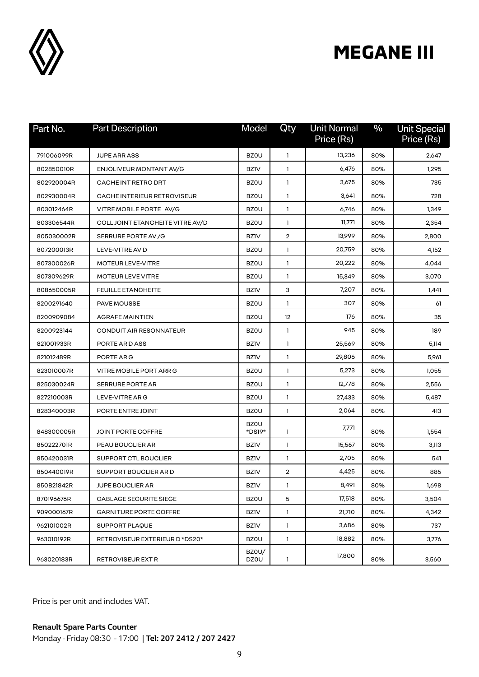

| Part No.   | <b>Part Description</b>          | Model                 | Qty          | <b>Unit Normal</b><br>Price (Rs) | $\%$ | <b>Unit Special</b><br>Price (Rs) |
|------------|----------------------------------|-----------------------|--------------|----------------------------------|------|-----------------------------------|
| 791006099R | <b>JUPE ARR ASS</b>              | <b>BZOU</b>           | 1            | 13,236                           | 80%  | 2,647                             |
| 802850010R | ENJOLIVEUR MONTANT AV/G          | <b>BZIV</b>           | 1            | 6,476                            | 80%  | 1,295                             |
| 802920004R | CACHE INT RETRO DRT              | <b>BZOU</b>           | 1            | 3,675                            | 80%  | 735                               |
| 802930004R | CACHE INTERIEUR RETROVISEUR      | <b>BZOU</b>           | 1            | 3,641                            | 80%  | 728                               |
| 803012464R | VITRE MOBILE PORTE AV/G          | <b>BZOU</b>           | 1            | 6,746                            | 80%  | 1,349                             |
| 803306544R | COLL JOINT ETANCHEITE VITRE AV/D | <b>BZOU</b>           | 1            | 11,771                           | 80%  | 2,354                             |
| 805030002R | SERRURE PORTE AV / G             | <b>BZIV</b>           | 2            | 13,999                           | 80%  | 2,800                             |
| 807200013R | LEVE-VITRE AV D                  | <b>BZOU</b>           | 1            | 20,759                           | 80%  | 4,152                             |
| 807300026R | <b>MOTEUR LEVE-VITRE</b>         | <b>BZOU</b>           | 1            | 20,222                           | 80%  | 4,044                             |
| 807309629R | MOTEUR LEVE VITRE                | <b>BZOU</b>           | 1            | 15,349                           | 80%  | 3,070                             |
| 808650005R | <b>FEUILLE ETANCHEITE</b>        | <b>BZIV</b>           | 3            | 7,207                            | 80%  | 1,441                             |
| 8200291640 | <b>PAVE MOUSSE</b>               | <b>BZOU</b>           | 1            | 307                              | 80%  | 61                                |
| 8200909084 | <b>AGRAFE MAINTIEN</b>           | <b>BZOU</b>           | 12           | 176                              | 80%  | 35                                |
| 8200923144 | <b>CONDUIT AIR RESONNATEUR</b>   | <b>BZOU</b>           | 1            | 945                              | 80%  | 189                               |
| 821001933R | PORTE AR D ASS                   | <b>BZIV</b>           | $\mathbf{1}$ | 25,569                           | 80%  | 5,114                             |
| 821012489R | PORTE ARG                        | <b>BZIV</b>           | 1            | 29,806                           | 80%  | 5,961                             |
| 823010007R | VITRE MOBILE PORT ARR G          | <b>BZOU</b>           | 1            | 5,273                            | 80%  | 1,055                             |
| 825030024R | <b>SERRURE PORTE AR</b>          | <b>BZOU</b>           | 1.           | 12,778                           | 80%  | 2,556                             |
| 827210003R | LEVE-VITRE ARG                   | <b>BZOU</b>           | 1            | 27,433                           | 80%  | 5,487                             |
| 828340003R | PORTE ENTRE JOINT                | <b>BZOU</b>           | $\mathbf{1}$ | 2,064                            | 80%  | 413                               |
| 848300005R | JOINT PORTE COFFRE               | <b>BZOU</b><br>*DS19* | 1            | 7,771                            | 80%  | 1,554                             |
| 850222701R | PEAU BOUCLIER AR                 | <b>BZIV</b>           | 1            | 15,567                           | 80%  | 3,113                             |
| 850420031R | SUPPORT CTL BOUCLIER             | <b>BZIV</b>           | 1            | 2,705                            | 80%  | 541                               |
| 850440019R | SUPPORT BOUCLIER AR D            | <b>BZIV</b>           | 2            | 4,425                            | 80%  | 885                               |
| 850B21842R | <b>JUPE BOUCLIER AR</b>          | BZ1V                  | 1            | 8,491                            | 80%  | 1,698                             |
| 870196676R | CABLAGE SECURITE SIEGE           | <b>BZOU</b>           | 5            | 17,518                           | 80%  | 3,504                             |
| 909000167R | <b>GARNITURE PORTE COFFRE</b>    | <b>BZIV</b>           | 1            | 21,710                           | 80%  | 4,342                             |
| 962101002R | <b>SUPPORT PLAQUE</b>            | <b>BZIV</b>           | 1            | 3,686                            | 80%  | 737                               |
| 963010192R | RETROVISEUR EXTERIEUR D *DS20*   | <b>BZOU</b>           | 1            | 18,882                           | 80%  | 3,776                             |
| 963020183R | RETROVISEUR EXT R                | BZ0U/<br>DZ0U         | 1            | 17,800                           | 80%  | 3,560                             |

Price is per unit and includes VAT.

Monday - Friday 08:30 - 17:00 | **Tel: 207 2412 / 207 2427**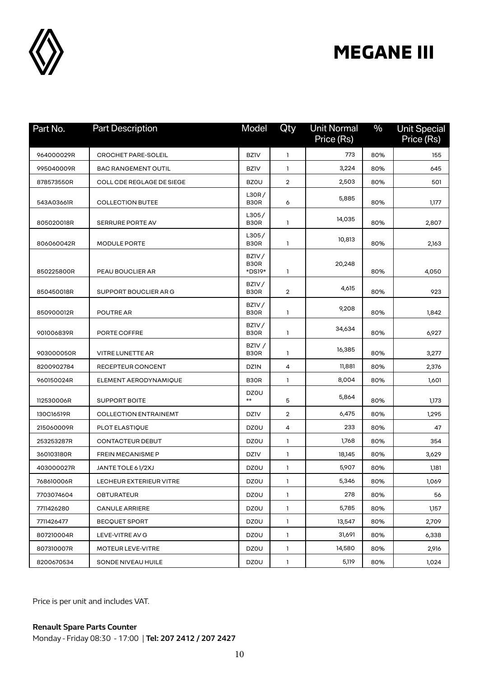

| Part No.   | <b>Part Description</b>          | Model                      | Qty            | <b>Unit Normal</b><br>Price (Rs) | $\%$ | <b>Unit Special</b><br>Price (Rs) |
|------------|----------------------------------|----------------------------|----------------|----------------------------------|------|-----------------------------------|
| 964000029R | <b>CROCHET PARE-SOLEIL</b>       | <b>BZIV</b>                | $\mathbf{1}$   | 773                              | 80%  | 155                               |
| 995040009R | <b>BAC RANGEMENT OUTIL</b>       | <b>BZIV</b>                | 1              | 3,224                            | 80%  | 645                               |
| 878573550R | <b>COLL CDE REGLAGE DE SIEGE</b> | <b>BZOU</b>                | $\overline{2}$ | 2,503                            | 80%  | 501                               |
| 543A03661R | <b>COLLECTION BUTEE</b>          | L30R/<br>B <sub>3</sub> OR | 6              | 5,885                            | 80%  | 1,177                             |
| 805020018R | <b>SERRURE PORTE AV</b>          | L305/<br>B <sub>3</sub> OR | 1              | 14,035                           | 80%  | 2,807                             |
| 806060042R | MODULE PORTE                     | L305/<br>B30R              | 1              | 10,813                           | 80%  | 2,163                             |
| 850225800R | PEAU BOUCLIER AR                 | BZIV/<br>B30R<br>*DS19*    | 1              | 20,248                           | 80%  | 4,050                             |
| 850450018R | SUPPORT BOUCLIER ARG             | BZIV/<br>B <sub>3</sub> OR | $\overline{2}$ | 4,615                            | 80%  | 923                               |
| 850900012R | <b>POUTRE AR</b>                 | BZIV/<br>B30R              | 1              | 9,208                            | 80%  | 1,842                             |
| 901006839R | PORTE COFFRE                     | BZIV/<br>B30R              | 1.             | 34,634                           | 80%  | 6,927                             |
| 903000050R | VITRE LUNETTE AR                 | BZIV /<br>B30R             | 1              | 16,385                           | 80%  | 3,277                             |
| 8200902784 | RECEPTEUR CONCENT                | <b>DZIN</b>                | 4              | 11,881                           | 80%  | 2,376                             |
| 960150024R | ELEMENT AERODYNAMIQUE            | B30R                       | 1.             | 8,004                            | 80%  | 1,601                             |
| 112530006R | <b>SUPPORT BOITE</b>             | DZ0U<br>$***$              | 5              | 5,864                            | 80%  | 1,173                             |
| 130C16519R | <b>COLLECTION ENTRAINEMT</b>     | <b>DZIV</b>                | 2              | 6,475                            | 80%  | 1,295                             |
| 215060009R | PLOT ELASTIQUE                   | DZ0U                       | 4              | 233                              | 80%  | 47                                |
| 253253287R | <b>CONTACTEUR DEBUT</b>          | DZ0U                       | 1              | 1,768                            | 80%  | 354                               |
| 360103180R | <b>FREIN MECANISME P</b>         | <b>DZIV</b>                | 1              | 18,145                           | 80%  | 3,629                             |
| 403000027R | JANTE TOLE 61/2XJ                | DZ0U                       | 1              | 5,907                            | 80%  | 1,181                             |
| 768610006R | LECHEUR EXTERIEUR VITRE          | DZ0U                       | 1              | 5,346                            | 80%  | 1,069                             |
| 7703074604 | OBTURATEUR                       | <b>DZ0U</b>                | $\mathbf{1}$   | 278                              | 80%  | 56                                |
| 7711426280 | <b>CANULE ARRIERE</b>            | DZ0U                       | $\mathbf{1}$   | 5,785                            | 80%  | 1,157                             |
| 7711426477 | <b>BECQUET SPORT</b>             | <b>DZ0U</b>                | $\mathbf{1}$   | 13,547                           | 80%  | 2,709                             |
| 807210004R | LEVE-VITRE AV G                  | <b>DZ0U</b>                | 1              | 31,691                           | 80%  | 6,338                             |
| 807310007R | MOTEUR LEVE-VITRE                | DZ0U                       | $\mathbf{1}$   | 14,580                           | 80%  | 2,916                             |
| 8200670534 | SONDE NIVEAU HUILE               | DZ0U                       | $\mathbf{1}$   | 5,119                            | 80%  | 1,024                             |